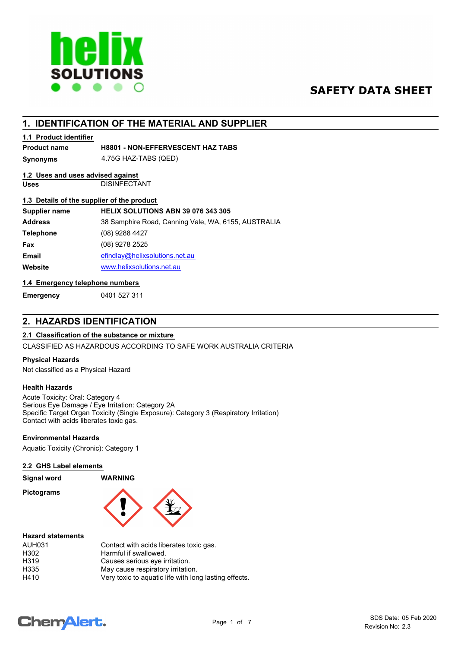

# **SAFETY DATA SHEET**

# **1. IDENTIFICATION OF THE MATERIAL AND SUPPLIER**

## **1.1 Product identifier**

## **Product name H8801 - NON-EFFERVESCENT HAZ TABS**

**Synonyms** 4.75G HAZ-TABS (QED)

# **1.2 Uses and uses advised against**

**Uses** DISINFECTANT

## **1.3 Details of the supplier of the product**

| Supplier name    | HELIX SOLUTIONS ABN 39 076 343 305                  |
|------------------|-----------------------------------------------------|
| <b>Address</b>   | 38 Samphire Road, Canning Vale, WA, 6155, AUSTRALIA |
| <b>Telephone</b> | (08) 9288 4427                                      |
| Fax              | (08) 9278 2525                                      |
| <b>Email</b>     | efindlay@helixsolutions.net.au                      |
| Website          | www.helixsolutions.net.au                           |

# **1.4 Emergency telephone numbers**

**Emergency** 0401 527 311

# **2. HAZARDS IDENTIFICATION**

# **2.1 Classification of the substance or mixture**

CLASSIFIED AS HAZARDOUS ACCORDING TO SAFE WORK AUSTRALIA CRITERIA

### **Physical Hazards**

Not classified as a Physical Hazard

### **Health Hazards**

Acute Toxicity: Oral: Category 4 Serious Eye Damage / Eye Irritation: Category 2A Specific Target Organ Toxicity (Single Exposure): Category 3 (Respiratory Irritation) Contact with acids liberates toxic gas.

### **Environmental Hazards**

Aquatic Toxicity (Chronic): Category 1

#### **2.2 GHS Label elements**

**Pictograms**



#### **Hazard statements**

| <b>AUH031</b> | Contact with acids liberates toxic gas.               |
|---------------|-------------------------------------------------------|
| H302          | Harmful if swallowed.                                 |
| H319          | Causes serious eye irritation.                        |
| H335          | May cause respiratory irritation.                     |
| H410          | Very toxic to aquatic life with long lasting effects. |

**Signal word WARNING**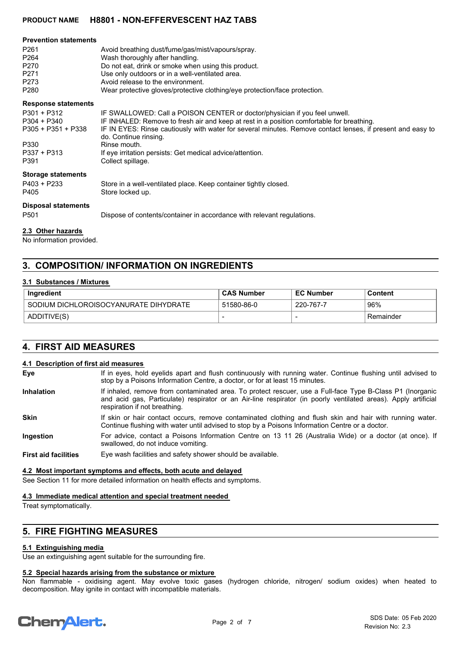| <b>Prevention statements</b> |                                                                                                                                     |
|------------------------------|-------------------------------------------------------------------------------------------------------------------------------------|
| P <sub>261</sub>             | Avoid breathing dust/fume/gas/mist/vapours/spray.                                                                                   |
| P <sub>264</sub>             | Wash thoroughly after handling.                                                                                                     |
| P270                         | Do not eat, drink or smoke when using this product.                                                                                 |
| P <sub>271</sub>             | Use only outdoors or in a well-ventilated area.                                                                                     |
| P273                         | Avoid release to the environment.                                                                                                   |
| P <sub>280</sub>             | Wear protective gloves/protective clothing/eye protection/face protection.                                                          |
| <b>Response statements</b>   |                                                                                                                                     |
| $P301 + P312$                | IF SWALLOWED: Call a POISON CENTER or doctor/physician if you feel unwell.                                                          |
| $P304 + P340$                | IF INHALED: Remove to fresh air and keep at rest in a position comfortable for breathing.                                           |
| $P305 + P351 + P338$         | IF IN EYES: Rinse cautiously with water for several minutes. Remove contact lenses, if present and easy to<br>do. Continue rinsing. |
| P330                         | Rinse mouth.                                                                                                                        |
| $P337 + P313$                | If eye irritation persists: Get medical advice/attention.                                                                           |
| P391                         | Collect spillage.                                                                                                                   |
| <b>Storage statements</b>    |                                                                                                                                     |
| $P403 + P233$                | Store in a well-ventilated place. Keep container tightly closed.                                                                    |
| P405                         | Store locked up.                                                                                                                    |
| <b>Disposal statements</b>   |                                                                                                                                     |
| P <sub>501</sub>             | Dispose of contents/container in accordance with relevant regulations.                                                              |
|                              |                                                                                                                                     |

# **2.3 Other hazards**

No information provided.

# **3. COMPOSITION/ INFORMATION ON INGREDIENTS**

### **3.1 Substances / Mixtures**

| <b>Ingredient</b>                     | <b>CAS Number</b> | <b>EC Number</b> | Content   |
|---------------------------------------|-------------------|------------------|-----------|
| SODIUM DICHLOROISOCYANURATE DIHYDRATE | 51580-86-0        | 220-767-7        | 96%       |
| ADDITIVE(S)                           |                   |                  | Remainder |

# **4. FIRST AID MEASURES**

#### **4.1 Description of first aid measures**

- If in eyes, hold eyelids apart and flush continuously with running water. Continue flushing until advised to stop by a Poisons Information Centre, a doctor, or for at least 15 minutes. **Eye**
- If inhaled, remove from contaminated area. To protect rescuer, use a Full-face Type B-Class P1 (Inorganic and acid gas, Particulate) respirator or an Air-line respirator (in poorly ventilated areas). Apply artificial respiration if not breathing. **Inhalation**
- If skin or hair contact occurs, remove contaminated clothing and flush skin and hair with running water. Continue flushing with water until advised to stop by a Poisons Information Centre or a doctor. **Skin**
- For advice, contact a Poisons Information Centre on 13 11 26 (Australia Wide) or a doctor (at once). If swallowed, do not induce vomiting. **Ingestion**
- **First aid facilities** Eye wash facilities and safety shower should be available.

#### **4.2 Most important symptoms and effects, both acute and delayed**

See Section 11 for more detailed information on health effects and symptoms.

#### **4.3 Immediate medical attention and special treatment needed**

Treat symptomatically.

# **5. FIRE FIGHTING MEASURES**

#### **5.1 Extinguishing media**

Use an extinguishing agent suitable for the surrounding fire.

## **5.2 Special hazards arising from the substance or mixture**

Non flammable - oxidising agent. May evolve toxic gases (hydrogen chloride, nitrogen/ sodium oxides) when heated to decomposition. May ignite in contact with incompatible materials.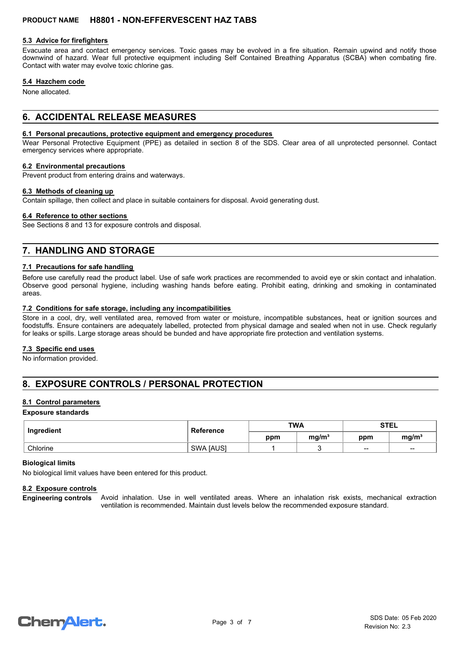#### **5.3 Advice for firefighters**

Evacuate area and contact emergency services. Toxic gases may be evolved in a fire situation. Remain upwind and notify those downwind of hazard. Wear full protective equipment including Self Contained Breathing Apparatus (SCBA) when combating fire. Contact with water may evolve toxic chlorine gas.

#### **5.4 Hazchem code**

None allocated.

# **6. ACCIDENTAL RELEASE MEASURES**

## **6.1 Personal precautions, protective equipment and emergency procedures**

Wear Personal Protective Equipment (PPE) as detailed in section 8 of the SDS. Clear area of all unprotected personnel. Contact emergency services where appropriate.

#### **6.2 Environmental precautions**

Prevent product from entering drains and waterways.

#### **6.3 Methods of cleaning up**

Contain spillage, then collect and place in suitable containers for disposal. Avoid generating dust.

#### **6.4 Reference to other sections**

See Sections 8 and 13 for exposure controls and disposal.

# **7. HANDLING AND STORAGE**

#### **7.1 Precautions for safe handling**

Before use carefully read the product label. Use of safe work practices are recommended to avoid eye or skin contact and inhalation. Observe good personal hygiene, including washing hands before eating. Prohibit eating, drinking and smoking in contaminated areas.

#### **7.2 Conditions for safe storage, including any incompatibilities**

Store in a cool, dry, well ventilated area, removed from water or moisture, incompatible substances, heat or ignition sources and foodstuffs. Ensure containers are adequately labelled, protected from physical damage and sealed when not in use. Check regularly for leaks or spills. Large storage areas should be bunded and have appropriate fire protection and ventilation systems.

### **7.3 Specific end uses**

No information provided.

# **8. EXPOSURE CONTROLS / PERSONAL PROTECTION**

### **8.1 Control parameters**

#### **Exposure standards**

| Ingredient | Reference        | <b>TWA</b> |                   | <b>STEL</b> |                                                |
|------------|------------------|------------|-------------------|-------------|------------------------------------------------|
|            |                  | ppm        | mg/m <sup>3</sup> | ppm         | mg/m <sup>3</sup>                              |
| Chlorine   | <b>SWA [AUS]</b> |            |                   | $\sim$      | $\hspace{0.1mm}-\hspace{0.1mm}-\hspace{0.1mm}$ |

#### **Biological limits**

No biological limit values have been entered for this product.

#### **8.2 Exposure controls**

Avoid inhalation. Use in well ventilated areas. Where an inhalation risk exists, mechanical extraction ventilation is recommended. Maintain dust levels below the recommended exposure standard. **Engineering controls**

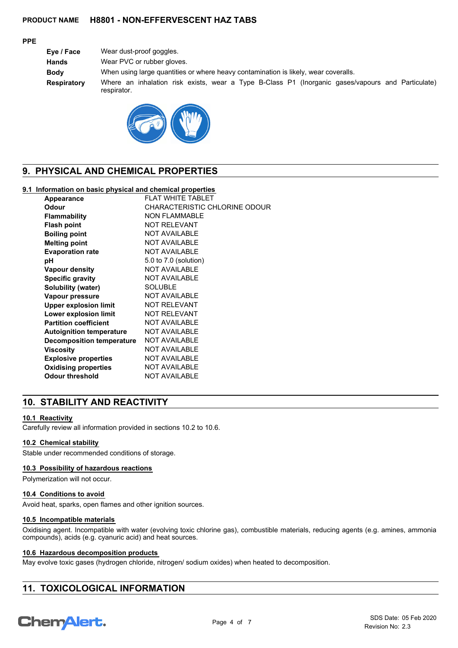## **PPE**

**Eye / Face** Wear dust-proof goggles. **Hands** Wear PVC or rubber gloves. **Body** When using large quantities or where heavy contamination is likely, wear coveralls. **Respiratory** Where an inhalation risk exists, wear a Type B-Class P1 (Inorganic gases/vapours and Particulate) respirator.



# **9. PHYSICAL AND CHEMICAL PROPERTIES**

## **9.1 Information on basic physical and chemical properties**

| Appearance                       | <b>FLAT WHITE TABLET</b>      |
|----------------------------------|-------------------------------|
| Odour                            | CHARACTERISTIC CHLORINE ODOUR |
| <b>Flammability</b>              | <b>NON FLAMMABLE</b>          |
| <b>Flash point</b>               | <b>NOT RELEVANT</b>           |
| <b>Boiling point</b>             | <b>NOT AVAILABLE</b>          |
| <b>Melting point</b>             | <b>NOT AVAILABLE</b>          |
| <b>Evaporation rate</b>          | <b>NOT AVAILABLE</b>          |
| рH                               | 5.0 to 7.0 (solution)         |
| <b>Vapour density</b>            | <b>NOT AVAILABLE</b>          |
| <b>Specific gravity</b>          | <b>NOT AVAILABLE</b>          |
| Solubility (water)               | <b>SOLUBLE</b>                |
| Vapour pressure                  | <b>NOT AVAILABLE</b>          |
| <b>Upper explosion limit</b>     | <b>NOT RELEVANT</b>           |
| <b>Lower explosion limit</b>     | <b>NOT RELEVANT</b>           |
| <b>Partition coefficient</b>     | <b>NOT AVAILABLE</b>          |
| <b>Autoignition temperature</b>  | <b>NOT AVAILABLE</b>          |
| <b>Decomposition temperature</b> | <b>NOT AVAILABLE</b>          |
| Viscosity                        | <b>NOT AVAILABLE</b>          |
| <b>Explosive properties</b>      | <b>NOT AVAILABLE</b>          |
| <b>Oxidising properties</b>      | <b>NOT AVAILABLE</b>          |
| <b>Odour threshold</b>           | <b>NOT AVAILABLE</b>          |

# **10. STABILITY AND REACTIVITY**

### **10.1 Reactivity**

Carefully review all information provided in sections 10.2 to 10.6.

### **10.2 Chemical stability**

Stable under recommended conditions of storage.

#### **10.3 Possibility of hazardous reactions**

Polymerization will not occur.

### **10.4 Conditions to avoid**

Avoid heat, sparks, open flames and other ignition sources.

#### **10.5 Incompatible materials**

Oxidising agent. Incompatible with water (evolving toxic chlorine gas), combustible materials, reducing agents (e.g. amines, ammonia compounds), acids (e.g. cyanuric acid) and heat sources.

### **10.6 Hazardous decomposition products**

May evolve toxic gases (hydrogen chloride, nitrogen/ sodium oxides) when heated to decomposition.

# **11. TOXICOLOGICAL INFORMATION**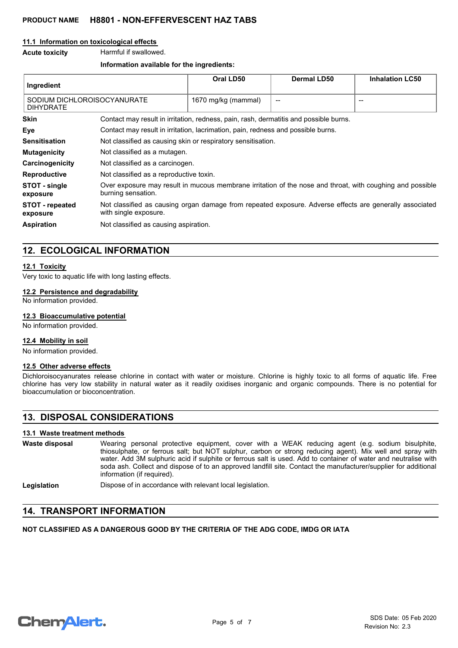#### **11.1 Information on toxicological effects**

**Acute toxicity** Harmful if swallowed.

#### **Information available for the ingredients:**

| Ingredient                                      |                                                                                                                                  | Oral LD50           | <b>Dermal LD50</b> | <b>Inhalation LC50</b> |
|-------------------------------------------------|----------------------------------------------------------------------------------------------------------------------------------|---------------------|--------------------|------------------------|
| SODIUM DICHLOROISOCYANURATE<br><b>DIHYDRATE</b> |                                                                                                                                  | 1670 mg/kg (mammal) |                    | $- -$                  |
| <b>Skin</b>                                     | Contact may result in irritation, redness, pain, rash, dermatitis and possible burns.                                            |                     |                    |                        |
| Eye                                             | Contact may result in irritation, lacrimation, pain, redness and possible burns.                                                 |                     |                    |                        |
| <b>Sensitisation</b>                            | Not classified as causing skin or respiratory sensitisation.                                                                     |                     |                    |                        |
| <b>Mutagenicity</b>                             | Not classified as a mutagen.                                                                                                     |                     |                    |                        |
| Carcinogenicity                                 | Not classified as a carcinogen.                                                                                                  |                     |                    |                        |
| <b>Reproductive</b>                             | Not classified as a reproductive toxin.                                                                                          |                     |                    |                        |
| STOT - single<br>exposure                       | Over exposure may result in mucous membrane irritation of the nose and throat, with coughing and possible<br>burning sensation.  |                     |                    |                        |
| <b>STOT</b> - repeated<br>exposure              | Not classified as causing organ damage from repeated exposure. Adverse effects are generally associated<br>with single exposure. |                     |                    |                        |
| <b>Aspiration</b>                               | Not classified as causing aspiration.                                                                                            |                     |                    |                        |

# **12. ECOLOGICAL INFORMATION**

#### **12.1 Toxicity**

Very toxic to aquatic life with long lasting effects.

## **12.2 Persistence and degradability**

No information provided.

#### **12.3 Bioaccumulative potential**

No information provided.

#### **12.4 Mobility in soil**

No information provided.

### **12.5 Other adverse effects**

Dichloroisocyanurates release chlorine in contact with water or moisture. Chlorine is highly toxic to all forms of aquatic life. Free chlorine has very low stability in natural water as it readily oxidises inorganic and organic compounds. There is no potential for bioaccumulation or bioconcentration.

# **13. DISPOSAL CONSIDERATIONS**

#### **13.1 Waste treatment methods**

| Waste disposal | Wearing personal protective equipment, cover with a WEAK reducing agent (e.g. sodium bisulphite,<br>thiosulphate, or ferrous salt; but NOT sulphur, carbon or strong reducing agent). Mix well and spray with<br>water. Add 3M sulphuric acid if sulphite or ferrous salt is used. Add to container of water and neutralise with<br>soda ash. Collect and dispose of to an approved landfill site. Contact the manufacturer/supplier for additional<br>information (if required). |
|----------------|-----------------------------------------------------------------------------------------------------------------------------------------------------------------------------------------------------------------------------------------------------------------------------------------------------------------------------------------------------------------------------------------------------------------------------------------------------------------------------------|
| Legislation    | Dispose of in accordance with relevant local legislation.                                                                                                                                                                                                                                                                                                                                                                                                                         |

# **14. TRANSPORT INFORMATION**

# **NOT CLASSIFIED AS A DANGEROUS GOOD BY THE CRITERIA OF THE ADG CODE, IMDG OR IATA**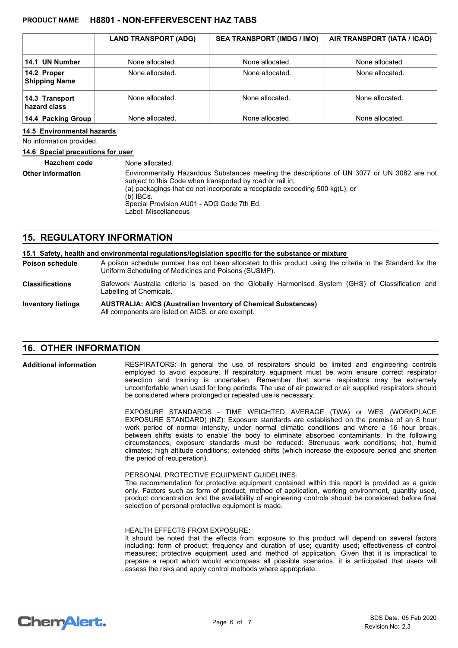|                                     | <b>LAND TRANSPORT (ADG)</b> | <b>SEA TRANSPORT (IMDG / IMO)</b> | AIR TRANSPORT (IATA / ICAO) |
|-------------------------------------|-----------------------------|-----------------------------------|-----------------------------|
| 14.1 UN Number                      | None allocated.             | None allocated.                   | None allocated.             |
| 14.2 Proper<br><b>Shipping Name</b> | None allocated.             | None allocated.                   | None allocated.             |
| 14.3 Transport<br>hazard class      | None allocated.             | None allocated.                   | None allocated.             |
| 14.4 Packing Group                  | None allocated.             | None allocated.                   | None allocated.             |

#### **14.5 Environmental hazards**

No information provided.

#### **14.6 Special precautions for user**

| <b>Hazchem code</b>      | None allocated.                                                                                                                                                                                                                                                                                                                |
|--------------------------|--------------------------------------------------------------------------------------------------------------------------------------------------------------------------------------------------------------------------------------------------------------------------------------------------------------------------------|
| <b>Other information</b> | Environmentally Hazardous Substances meeting the descriptions of UN 3077 or UN 3082 are not<br>subject to this Code when transported by road or rail in;<br>(a) packagings that do not incorporate a receptacle exceeding 500 $kg(L)$ ; or<br>$(b)$ IBCs.<br>Special Provision AU01 - ADG Code 7th Ed.<br>Label: Miscellaneous |

# **15. REGULATORY INFORMATION**

| 15.1 Safety, health and environmental regulations/legislation specific for the substance or mixture |                                                                                                                                                                    |  |
|-----------------------------------------------------------------------------------------------------|--------------------------------------------------------------------------------------------------------------------------------------------------------------------|--|
| <b>Poison schedule</b>                                                                              | A poison schedule number has not been allocated to this product using the criteria in the Standard for the<br>Uniform Scheduling of Medicines and Poisons (SUSMP). |  |
| <b>Classifications</b>                                                                              | Safework Australia criteria is based on the Globally Harmonised System (GHS) of Classification and<br>Labelling of Chemicals.                                      |  |
| <b>Inventory listings</b>                                                                           | <b>AUSTRALIA: AICS (Australian Inventory of Chemical Substances)</b><br>All components are listed on AICS, or are exempt.                                          |  |

# **16. OTHER INFORMATION**

RESPIRATORS: In general the use of respirators should be limited and engineering controls employed to avoid exposure. If respiratory equipment must be worn ensure correct respirator selection and training is undertaken. Remember that some respirators may be extremely uncomfortable when used for long periods. The use of air powered or air supplied respirators should be considered where prolonged or repeated use is necessary. **Additional information**

> EXPOSURE STANDARDS - TIME WEIGHTED AVERAGE (TWA) or WES (WORKPLACE EXPOSURE STANDARD) (NZ): Exposure standards are established on the premise of an 8 hour work period of normal intensity, under normal climatic conditions and where a 16 hour break between shifts exists to enable the body to eliminate absorbed contaminants. In the following circumstances, exposure standards must be reduced: Strenuous work conditions; hot, humid climates; high altitude conditions; extended shifts (which increase the exposure period and shorten the period of recuperation).

#### PERSONAL PROTECTIVE EQUIPMENT GUIDELINES:

The recommendation for protective equipment contained within this report is provided as a guide only. Factors such as form of product, method of application, working environment, quantity used, product concentration and the availability of engineering controls should be considered before final selection of personal protective equipment is made.

#### HEALTH EFFECTS FROM EXPOSURE:

It should be noted that the effects from exposure to this product will depend on several factors including: form of product; frequency and duration of use; quantity used; effectiveness of control measures; protective equipment used and method of application. Given that it is impractical to prepare a report which would encompass all possible scenarios, it is anticipated that users will assess the risks and apply control methods where appropriate.